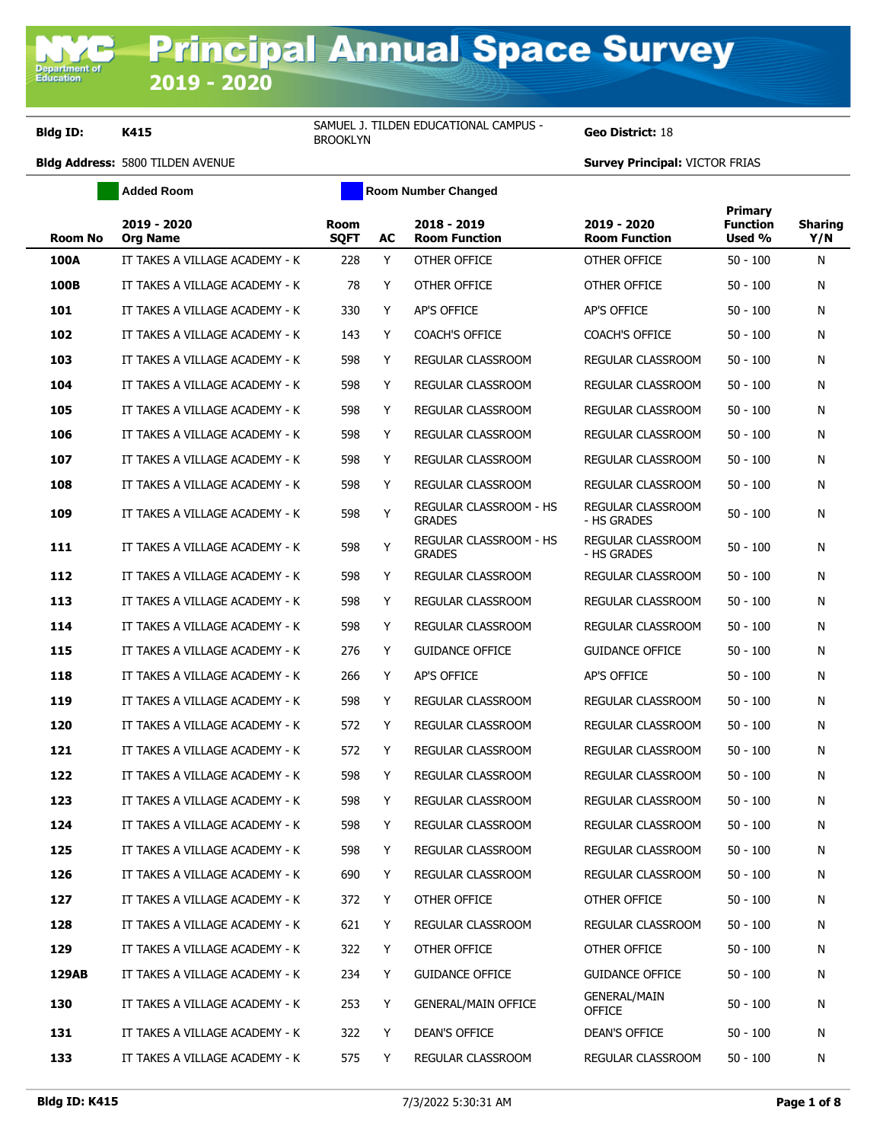Department of<br>Education

**Bldg ID: K415** SAMUEL J. TILDEN EDUCATIONAL CAMPUS -

**Added Room Room Room Number Changed** 

Geo District: 18

| <b>Room No</b> | 2019 - 2020<br><b>Org Name</b> | <b>Room</b><br><b>SQFT</b> | AC | 2018 - 2019<br><b>Room Function</b>     | 2019 - 2020<br><b>Room Function</b> | <b>Primary</b><br><b>Function</b><br>Used % | <b>Sharing</b><br>Y/N |
|----------------|--------------------------------|----------------------------|----|-----------------------------------------|-------------------------------------|---------------------------------------------|-----------------------|
| <b>100A</b>    | IT TAKES A VILLAGE ACADEMY - K | 228                        | Y  | OTHER OFFICE                            | OTHER OFFICE                        | $50 - 100$                                  | N                     |
| 100B           | IT TAKES A VILLAGE ACADEMY - K | 78                         | Y  | OTHER OFFICE                            | OTHER OFFICE                        | $50 - 100$                                  | N                     |
| 101            | IT TAKES A VILLAGE ACADEMY - K | 330                        | Y  | AP'S OFFICE                             | AP'S OFFICE                         | $50 - 100$                                  | N                     |
| 102            | IT TAKES A VILLAGE ACADEMY - K | 143                        | Y  | <b>COACH'S OFFICE</b>                   | <b>COACH'S OFFICE</b>               | $50 - 100$                                  | N                     |
| 103            | IT TAKES A VILLAGE ACADEMY - K | 598                        | Y  | REGULAR CLASSROOM                       | REGULAR CLASSROOM                   | $50 - 100$                                  | N                     |
| 104            | IT TAKES A VILLAGE ACADEMY - K | 598                        | Y  | <b>REGULAR CLASSROOM</b>                | REGULAR CLASSROOM                   | $50 - 100$                                  | N                     |
| 105            | IT TAKES A VILLAGE ACADEMY - K | 598                        | Y  | REGULAR CLASSROOM                       | REGULAR CLASSROOM                   | $50 - 100$                                  | N                     |
| 106            | IT TAKES A VILLAGE ACADEMY - K | 598                        | Y  | <b>REGULAR CLASSROOM</b>                | REGULAR CLASSROOM                   | $50 - 100$                                  | N                     |
| 107            | IT TAKES A VILLAGE ACADEMY - K | 598                        | Y  | REGULAR CLASSROOM                       | REGULAR CLASSROOM                   | $50 - 100$                                  | N                     |
| 108            | IT TAKES A VILLAGE ACADEMY - K | 598                        | Y  | REGULAR CLASSROOM                       | REGULAR CLASSROOM                   | $50 - 100$                                  | N                     |
| 109            | IT TAKES A VILLAGE ACADEMY - K | 598                        | Y  | REGULAR CLASSROOM - HS<br><b>GRADES</b> | REGULAR CLASSROOM<br>- HS GRADES    | $50 - 100$                                  | N                     |
| 111            | IT TAKES A VILLAGE ACADEMY - K | 598                        | Y  | REGULAR CLASSROOM - HS<br><b>GRADES</b> | REGULAR CLASSROOM<br>- HS GRADES    | $50 - 100$                                  | N                     |
| 112            | IT TAKES A VILLAGE ACADEMY - K | 598                        | Y  | REGULAR CLASSROOM                       | REGULAR CLASSROOM                   | $50 - 100$                                  | N                     |
| 113            | IT TAKES A VILLAGE ACADEMY - K | 598                        | Y  | REGULAR CLASSROOM                       | REGULAR CLASSROOM                   | $50 - 100$                                  | N                     |
| 114            | IT TAKES A VILLAGE ACADEMY - K | 598                        | Y  | REGULAR CLASSROOM                       | REGULAR CLASSROOM                   | $50 - 100$                                  | N                     |
| 115            | IT TAKES A VILLAGE ACADEMY - K | 276                        | Y  | <b>GUIDANCE OFFICE</b>                  | <b>GUIDANCE OFFICE</b>              | $50 - 100$                                  | N                     |
| 118            | IT TAKES A VILLAGE ACADEMY - K | 266                        | Y  | AP'S OFFICE                             | <b>AP'S OFFICE</b>                  | $50 - 100$                                  | N                     |
| 119            | IT TAKES A VILLAGE ACADEMY - K | 598                        | Y  | REGULAR CLASSROOM                       | REGULAR CLASSROOM                   | $50 - 100$                                  | N                     |
| 120            | IT TAKES A VILLAGE ACADEMY - K | 572                        | Y  | REGULAR CLASSROOM                       | REGULAR CLASSROOM                   | $50 - 100$                                  | N                     |
| 121            | IT TAKES A VILLAGE ACADEMY - K | 572                        | Y  | <b>REGULAR CLASSROOM</b>                | REGULAR CLASSROOM                   | $50 - 100$                                  | N                     |
| 122            | IT TAKES A VILLAGE ACADEMY - K | 598                        | Y  | REGULAR CLASSROOM                       | REGULAR CLASSROOM                   | $50 - 100$                                  | N                     |
| 123            | IT TAKES A VILLAGE ACADEMY - K | 598                        | Y  | REGULAR CLASSROOM                       | REGULAR CLASSROOM                   | $50 - 100$                                  | N                     |
| 124            | IT TAKES A VILLAGE ACADEMY - K | 598                        | Y  | <b>REGULAR CLASSROOM</b>                | REGULAR CLASSROOM                   | $50 - 100$                                  | N                     |
| 125            | IT TAKES A VILLAGE ACADEMY - K | 598                        | Y  | REGULAR CLASSROOM                       | REGULAR CLASSROOM                   | 50 - 100                                    | N                     |
| 126            | IT TAKES A VILLAGE ACADEMY - K | 690                        | Y  | REGULAR CLASSROOM                       | REGULAR CLASSROOM                   | $50 - 100$                                  | N                     |
| 127            | IT TAKES A VILLAGE ACADEMY - K | 372                        | Y  | OTHER OFFICE                            | OTHER OFFICE                        | $50 - 100$                                  | N                     |
| 128            | IT TAKES A VILLAGE ACADEMY - K | 621                        | Y  | REGULAR CLASSROOM                       | REGULAR CLASSROOM                   | 50 - 100                                    | N                     |
| 129            | IT TAKES A VILLAGE ACADEMY - K | 322                        | Y  | OTHER OFFICE                            | OTHER OFFICE                        | $50 - 100$                                  | N                     |
| 129AB          | IT TAKES A VILLAGE ACADEMY - K | 234                        | Y  | <b>GUIDANCE OFFICE</b>                  | <b>GUIDANCE OFFICE</b>              | $50 - 100$                                  | N                     |
| 130            | IT TAKES A VILLAGE ACADEMY - K | 253                        | Y  | <b>GENERAL/MAIN OFFICE</b>              | GENERAL/MAIN<br><b>OFFICE</b>       | $50 - 100$                                  | N                     |
| 131            | IT TAKES A VILLAGE ACADEMY - K | 322                        | Y  | <b>DEAN'S OFFICE</b>                    | DEAN'S OFFICE                       | $50 - 100$                                  | N                     |
| 133            | IT TAKES A VILLAGE ACADEMY - K | 575                        | Y  | REGULAR CLASSROOM                       | REGULAR CLASSROOM                   | $50 - 100$                                  | N                     |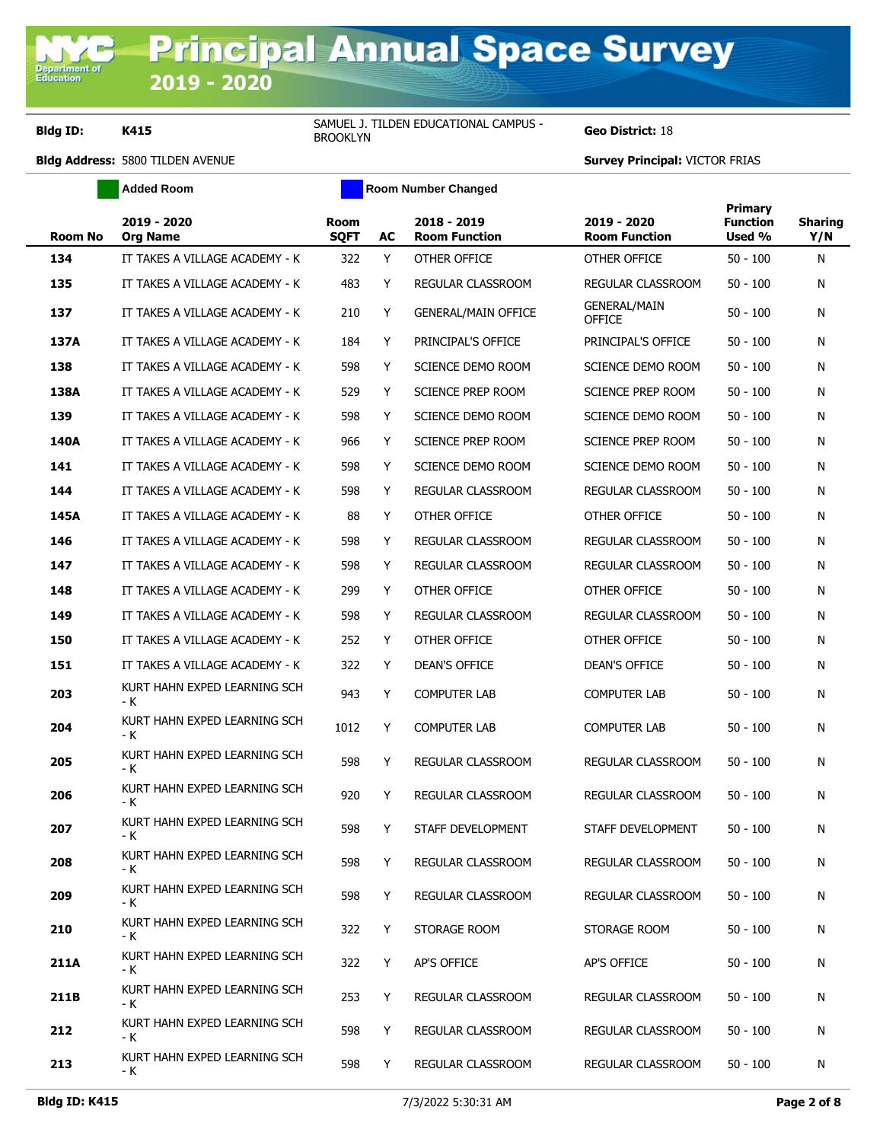**Department**<br>Education

**Bldg ID: K415** SAMUEL J. TILDEN EDUCATIONAL CAMPUS -<br>BROOKLYN

**Geo District: 18** 

|         | <b>Added Room</b>                   |                            |    | <b>Room Number Changed</b>          |                                      |                                      |                       |
|---------|-------------------------------------|----------------------------|----|-------------------------------------|--------------------------------------|--------------------------------------|-----------------------|
| Room No | 2019 - 2020<br><b>Org Name</b>      | <b>Room</b><br><b>SQFT</b> | AC | 2018 - 2019<br><b>Room Function</b> | 2019 - 2020<br><b>Room Function</b>  | Primary<br><b>Function</b><br>Used % | <b>Sharing</b><br>Y/N |
| 134     | IT TAKES A VILLAGE ACADEMY - K      | 322                        | Y  | OTHER OFFICE                        | OTHER OFFICE                         | $50 - 100$                           | N                     |
| 135     | IT TAKES A VILLAGE ACADEMY - K      | 483                        | Y  | REGULAR CLASSROOM                   | REGULAR CLASSROOM                    | $50 - 100$                           | N                     |
| 137     | IT TAKES A VILLAGE ACADEMY - K      | 210                        | Y  | <b>GENERAL/MAIN OFFICE</b>          | <b>GENERAL/MAIN</b><br><b>OFFICE</b> | 50 - 100                             | N                     |
| 137A    | IT TAKES A VILLAGE ACADEMY - K      | 184                        | Y  | PRINCIPAL'S OFFICE                  | PRINCIPAL'S OFFICE                   | $50 - 100$                           | N                     |
| 138     | IT TAKES A VILLAGE ACADEMY - K      | 598                        | Y  | SCIENCE DEMO ROOM                   | SCIENCE DEMO ROOM                    | $50 - 100$                           | N                     |
| 138A    | IT TAKES A VILLAGE ACADEMY - K      | 529                        | Y  | SCIENCE PREP ROOM                   | <b>SCIENCE PREP ROOM</b>             | 50 - 100                             | N                     |
| 139     | IT TAKES A VILLAGE ACADEMY - K      | 598                        | Y  | SCIENCE DEMO ROOM                   | SCIENCE DEMO ROOM                    | $50 - 100$                           | N                     |
| 140A    | IT TAKES A VILLAGE ACADEMY - K      | 966                        | Y  | SCIENCE PREP ROOM                   | SCIENCE PREP ROOM                    | $50 - 100$                           | N                     |
| 141     | IT TAKES A VILLAGE ACADEMY - K      | 598                        | Y  | SCIENCE DEMO ROOM                   | SCIENCE DEMO ROOM                    | $50 - 100$                           | N                     |
| 144     | IT TAKES A VILLAGE ACADEMY - K      | 598                        | Y  | <b>REGULAR CLASSROOM</b>            | <b>REGULAR CLASSROOM</b>             | $50 - 100$                           | N                     |
| 145A    | IT TAKES A VILLAGE ACADEMY - K      | 88                         | Y  | OTHER OFFICE                        | OTHER OFFICE                         | 50 - 100                             | N                     |
| 146     | IT TAKES A VILLAGE ACADEMY - K      | 598                        | Y  | REGULAR CLASSROOM                   | REGULAR CLASSROOM                    | $50 - 100$                           | N                     |
| 147     | IT TAKES A VILLAGE ACADEMY - K      | 598                        | Y  | <b>REGULAR CLASSROOM</b>            | REGULAR CLASSROOM                    | $50 - 100$                           | N                     |
| 148     | IT TAKES A VILLAGE ACADEMY - K      | 299                        | Y  | OTHER OFFICE                        | OTHER OFFICE                         | 50 - 100                             | N                     |
| 149     | IT TAKES A VILLAGE ACADEMY - K      | 598                        | Y  | REGULAR CLASSROOM                   | REGULAR CLASSROOM                    | $50 - 100$                           | N                     |
| 150     | IT TAKES A VILLAGE ACADEMY - K      | 252                        | Y  | OTHER OFFICE                        | OTHER OFFICE                         | 50 - 100                             | N                     |
| 151     | IT TAKES A VILLAGE ACADEMY - K      | 322                        | Y  | DEAN'S OFFICE                       | DEAN'S OFFICE                        | 50 - 100                             | N                     |
| 203     | KURT HAHN EXPED LEARNING SCH<br>- K | 943                        | Y  | <b>COMPUTER LAB</b>                 | <b>COMPUTER LAB</b>                  | 50 - 100                             | N                     |
| 204     | KURT HAHN EXPED LEARNING SCH<br>- K | 1012                       | Y  | <b>COMPUTER LAB</b>                 | <b>COMPUTER LAB</b>                  | 50 - 100                             | N                     |
| 205     | KURT HAHN EXPED LEARNING SCH<br>- K | 598                        | Y  | <b>REGULAR CLASSROOM</b>            | REGULAR CLASSROOM                    | $50 - 100$                           | N                     |
| 206     | KURT HAHN EXPED LEARNING SCH<br>- K | 920                        | Y  | REGULAR CLASSROOM                   | REGULAR CLASSROOM                    | $50 - 100$                           | N                     |
| 207     | KURT HAHN EXPED LEARNING SCH        | 598                        | Y. | STAFF DEVELOPMENT                   | STAFF DEVELOPMENT                    | $50 - 100$                           | N                     |
| 208     | KURT HAHN EXPED LEARNING SCH<br>- K | 598                        | Y  | REGULAR CLASSROOM                   | REGULAR CLASSROOM                    | $50 - 100$                           | N                     |
| 209     | KURT HAHN EXPED LEARNING SCH<br>- K | 598                        | Y  | REGULAR CLASSROOM                   | REGULAR CLASSROOM                    | $50 - 100$                           | N                     |
| 210     | KURT HAHN EXPED LEARNING SCH<br>- K | 322                        | Y  | STORAGE ROOM                        | STORAGE ROOM                         | $50 - 100$                           | N                     |
| 211A    | KURT HAHN EXPED LEARNING SCH<br>- K | 322                        | Y  | AP'S OFFICE                         | AP'S OFFICE                          | $50 - 100$                           | N                     |
| 211B    | KURT HAHN EXPED LEARNING SCH<br>- K | 253                        | Y  | REGULAR CLASSROOM                   | REGULAR CLASSROOM                    | $50 - 100$                           | N                     |
| 212     | KURT HAHN EXPED LEARNING SCH<br>- K | 598                        | Y  | REGULAR CLASSROOM                   | REGULAR CLASSROOM                    | $50 - 100$                           | N                     |
| 213     | KURT HAHN EXPED LEARNING SCH<br>- K | 598                        | Y  | REGULAR CLASSROOM                   | REGULAR CLASSROOM                    | $50 - 100$                           | N                     |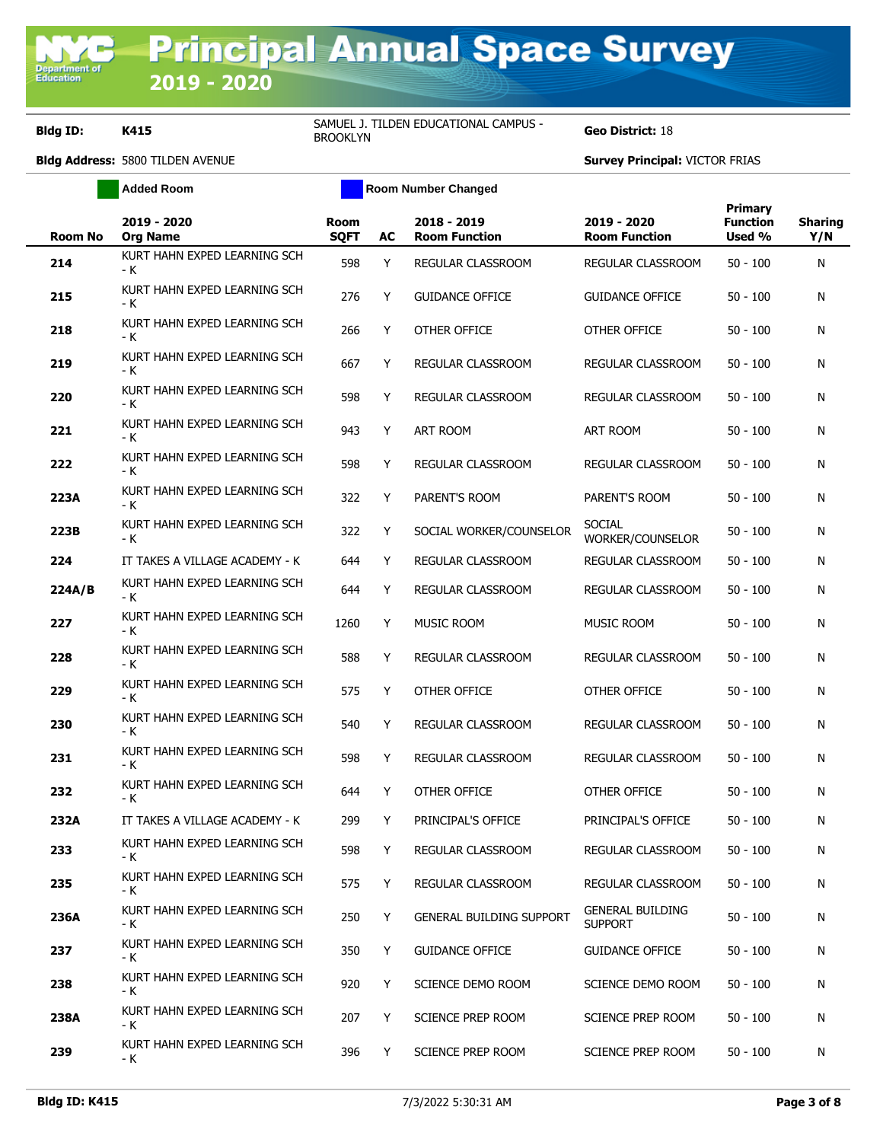**Bldg ID: K415** SAMUEL J. TILDEN EDUCATIONAL CAMPUS -<br>BROOKLYN

**Added Room Room Room Number Changed** 

**Geo District: 18** 

| <b>Room No</b> | 2019 - 2020<br><b>Org Name</b>      | Room<br><b>SQFT</b> | AC | 2018 - 2019<br><b>Room Function</b> | 2019 - 2020<br><b>Room Function</b>       | Primary<br><b>Function</b><br>Used % | <b>Sharing</b><br>Y/N |
|----------------|-------------------------------------|---------------------|----|-------------------------------------|-------------------------------------------|--------------------------------------|-----------------------|
| 214            | KURT HAHN EXPED LEARNING SCH<br>- K | 598                 | Y  | REGULAR CLASSROOM                   | REGULAR CLASSROOM                         | $50 - 100$                           | N                     |
| 215            | KURT HAHN EXPED LEARNING SCH<br>- K | 276                 | Y  | <b>GUIDANCE OFFICE</b>              | <b>GUIDANCE OFFICE</b>                    | 50 - 100                             | N                     |
| 218            | KURT HAHN EXPED LEARNING SCH<br>- K | 266                 | Y  | OTHER OFFICE                        | OTHER OFFICE                              | 50 - 100                             | N                     |
| 219            | KURT HAHN EXPED LEARNING SCH<br>- K | 667                 | Y  | REGULAR CLASSROOM                   | REGULAR CLASSROOM                         | $50 - 100$                           | N                     |
| 220            | KURT HAHN EXPED LEARNING SCH<br>- K | 598                 | Y  | REGULAR CLASSROOM                   | REGULAR CLASSROOM                         | 50 - 100                             | N                     |
| 221            | KURT HAHN EXPED LEARNING SCH<br>- K | 943                 | Y  | <b>ART ROOM</b>                     | ART ROOM                                  | 50 - 100                             | N                     |
| 222            | KURT HAHN EXPED LEARNING SCH<br>- K | 598                 | Y  | REGULAR CLASSROOM                   | REGULAR CLASSROOM                         | $50 - 100$                           | N                     |
| 223A           | KURT HAHN EXPED LEARNING SCH<br>- K | 322                 | Y  | PARENT'S ROOM                       | PARENT'S ROOM                             | $50 - 100$                           | N                     |
| 223B           | KURT HAHN EXPED LEARNING SCH<br>- K | 322                 | Y  | SOCIAL WORKER/COUNSELOR             | <b>SOCIAL</b><br>WORKER/COUNSELOR         | $50 - 100$                           | N                     |
| 224            | IT TAKES A VILLAGE ACADEMY - K      | 644                 | Y  | REGULAR CLASSROOM                   | REGULAR CLASSROOM                         | $50 - 100$                           | N                     |
| 224A/B         | KURT HAHN EXPED LEARNING SCH<br>- K | 644                 | Y  | REGULAR CLASSROOM                   | REGULAR CLASSROOM                         | $50 - 100$                           | N                     |
| 227            | KURT HAHN EXPED LEARNING SCH<br>- K | 1260                | Y  | <b>MUSIC ROOM</b>                   | <b>MUSIC ROOM</b>                         | 50 - 100                             | N                     |
| 228            | KURT HAHN EXPED LEARNING SCH<br>- K | 588                 | Y  | REGULAR CLASSROOM                   | REGULAR CLASSROOM                         | $50 - 100$                           | N                     |
| 229            | KURT HAHN EXPED LEARNING SCH<br>- K | 575                 | Y  | OTHER OFFICE                        | OTHER OFFICE                              | 50 - 100                             | N                     |
| 230            | KURT HAHN EXPED LEARNING SCH<br>- K | 540                 | Y  | REGULAR CLASSROOM                   | REGULAR CLASSROOM                         | $50 - 100$                           | N                     |
| 231            | KURT HAHN EXPED LEARNING SCH<br>- K | 598                 | Y  | REGULAR CLASSROOM                   | REGULAR CLASSROOM                         | $50 - 100$                           | N                     |
| 232            | KURT HAHN EXPED LEARNING SCH<br>- K | 644                 | Y  | OTHER OFFICE                        | OTHER OFFICE                              | $50 - 100$                           | N                     |
| 232A           | IT TAKES A VILLAGE ACADEMY - K      | 299                 | Y  | PRINCIPAL'S OFFICE                  | PRINCIPAL'S OFFICE                        | $50 - 100$                           | N                     |
| 233            | KURT HAHN EXPED LEARNING SCH<br>- K | 598                 | Y  | REGULAR CLASSROOM                   | REGULAR CLASSROOM                         | $50 - 100$                           | N                     |
| 235            | KURT HAHN EXPED LEARNING SCH<br>- K | 575                 | Y  | REGULAR CLASSROOM                   | REGULAR CLASSROOM                         | $50 - 100$                           | N                     |
| 236A           | KURT HAHN EXPED LEARNING SCH<br>- K | 250                 | Y  | <b>GENERAL BUILDING SUPPORT</b>     | <b>GENERAL BUILDING</b><br><b>SUPPORT</b> | $50 - 100$                           | N                     |
| 237            | KURT HAHN EXPED LEARNING SCH<br>- K | 350                 | Y  | <b>GUIDANCE OFFICE</b>              | <b>GUIDANCE OFFICE</b>                    | $50 - 100$                           | N                     |
| 238            | KURT HAHN EXPED LEARNING SCH<br>- K | 920                 | Y  | SCIENCE DEMO ROOM                   | SCIENCE DEMO ROOM                         | $50 - 100$                           | N                     |
| 238A           | KURT HAHN EXPED LEARNING SCH<br>- K | 207                 | Y  | SCIENCE PREP ROOM                   | <b>SCIENCE PREP ROOM</b>                  | $50 - 100$                           | N                     |
| 239            | KURT HAHN EXPED LEARNING SCH<br>- K | 396                 | Y  | SCIENCE PREP ROOM                   | SCIENCE PREP ROOM                         | $50 - 100$                           | Ν                     |
|                |                                     |                     |    |                                     |                                           |                                      |                       |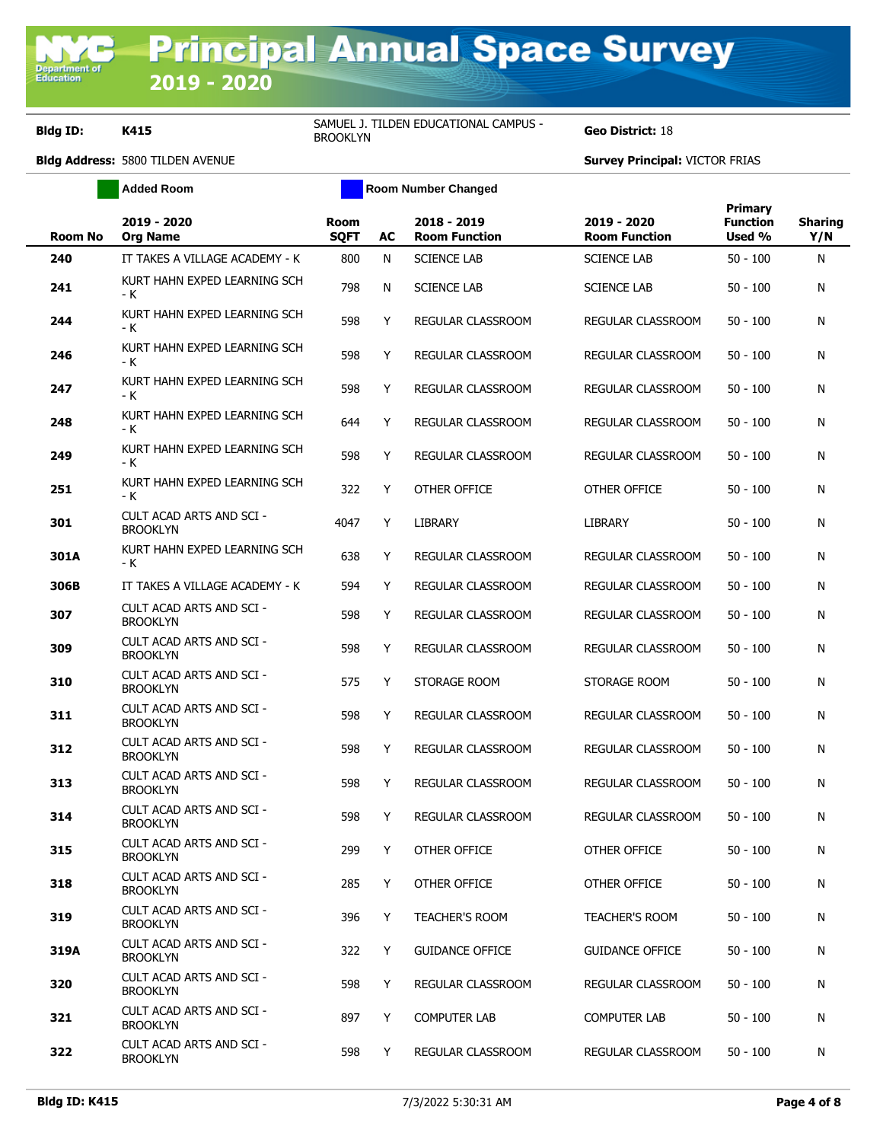**Department**<br>Education

**Bldg ID: K415** SAMUEL J. TILDEN EDUCATIONAL CAMPUS -<br>BROOKLYN

**Geo District: 18** 

|                | <b>Added Room</b>                           | <b>Room Number Changed</b> |    |                                     |                                     |                                             |                       |
|----------------|---------------------------------------------|----------------------------|----|-------------------------------------|-------------------------------------|---------------------------------------------|-----------------------|
| <b>Room No</b> | 2019 - 2020<br><b>Org Name</b>              | <b>Room</b><br><b>SQFT</b> | AC | 2018 - 2019<br><b>Room Function</b> | 2019 - 2020<br><b>Room Function</b> | <b>Primary</b><br><b>Function</b><br>Used % | <b>Sharing</b><br>Y/N |
| 240            | IT TAKES A VILLAGE ACADEMY - K              | 800                        | N  | <b>SCIENCE LAB</b>                  | <b>SCIENCE LAB</b>                  | $50 - 100$                                  | N                     |
| 241            | KURT HAHN EXPED LEARNING SCH<br>- K         | 798                        | N  | <b>SCIENCE LAB</b>                  | <b>SCIENCE LAB</b>                  | 50 - 100                                    | N                     |
| 244            | KURT HAHN EXPED LEARNING SCH<br>- K         | 598                        | Y  | REGULAR CLASSROOM                   | REGULAR CLASSROOM                   | $50 - 100$                                  | N                     |
| 246            | KURT HAHN EXPED LEARNING SCH<br>- K         | 598                        | Y  | <b>REGULAR CLASSROOM</b>            | REGULAR CLASSROOM                   | $50 - 100$                                  | N                     |
| 247            | KURT HAHN EXPED LEARNING SCH<br>- K         | 598                        | Y  | REGULAR CLASSROOM                   | REGULAR CLASSROOM                   | $50 - 100$                                  | N                     |
| 248            | KURT HAHN EXPED LEARNING SCH<br>- K         | 644                        | Y  | REGULAR CLASSROOM                   | REGULAR CLASSROOM                   | $50 - 100$                                  | N                     |
| 249            | KURT HAHN EXPED LEARNING SCH<br>- K         | 598                        | Y  | REGULAR CLASSROOM                   | REGULAR CLASSROOM                   | $50 - 100$                                  | N                     |
| 251            | KURT HAHN EXPED LEARNING SCH<br>- K         | 322                        | Y  | OTHER OFFICE                        | OTHER OFFICE                        | 50 - 100                                    | N                     |
| 301            | CULT ACAD ARTS AND SCI -<br><b>BROOKLYN</b> | 4047                       | Y  | LIBRARY                             | LIBRARY                             | 50 - 100                                    | N                     |
| 301A           | KURT HAHN EXPED LEARNING SCH<br>- K         | 638                        | Y  | REGULAR CLASSROOM                   | REGULAR CLASSROOM                   | $50 - 100$                                  | N                     |
| 306B           | IT TAKES A VILLAGE ACADEMY - K              | 594                        | Y  | <b>REGULAR CLASSROOM</b>            | REGULAR CLASSROOM                   | $50 - 100$                                  | N                     |
| 307            | CULT ACAD ARTS AND SCI -<br><b>BROOKLYN</b> | 598                        | Y  | REGULAR CLASSROOM                   | REGULAR CLASSROOM                   | $50 - 100$                                  | N                     |
| 309            | CULT ACAD ARTS AND SCI -<br><b>BROOKLYN</b> | 598                        | Y  | REGULAR CLASSROOM                   | REGULAR CLASSROOM                   | $50 - 100$                                  | N                     |
| 310            | CULT ACAD ARTS AND SCI -<br><b>BROOKLYN</b> | 575                        | Y  | STORAGE ROOM                        | STORAGE ROOM                        | $50 - 100$                                  | N                     |
| 311            | CULT ACAD ARTS AND SCI -<br><b>BROOKLYN</b> | 598                        | Y  | REGULAR CLASSROOM                   | REGULAR CLASSROOM                   | $50 - 100$                                  | N                     |
| 312            | CULT ACAD ARTS AND SCI -<br><b>BROOKLYN</b> | 598                        | Y  | REGULAR CLASSROOM                   | <b>REGULAR CLASSROOM</b>            | 50 - 100                                    | N                     |
| 313            | CULT ACAD ARTS AND SCI -<br><b>BROOKLYN</b> | 598                        | Y  | <b>REGULAR CLASSROOM</b>            | REGULAR CLASSROOM                   | $50 - 100$                                  | N                     |
| 314            | CULT ACAD ARTS AND SCI -<br><b>BROOKLYN</b> | 598                        | Y  | REGULAR CLASSROOM                   | REGULAR CLASSROOM                   | $50 - 100$                                  | Ν                     |
| 315            | CULT ACAD ARTS AND SCI -<br><b>BROOKLYN</b> | 299                        | Y  | OTHER OFFICE                        | OTHER OFFICE                        | $50 - 100$                                  | N                     |
| 318            | CULT ACAD ARTS AND SCI -<br><b>BROOKLYN</b> | 285                        | Y  | OTHER OFFICE                        | OTHER OFFICE                        | $50 - 100$                                  | N                     |
| 319            | CULT ACAD ARTS AND SCI -<br><b>BROOKLYN</b> | 396                        | Y  | <b>TEACHER'S ROOM</b>               | <b>TEACHER'S ROOM</b>               | $50 - 100$                                  | N                     |
| 319A           | CULT ACAD ARTS AND SCI -<br><b>BROOKLYN</b> | 322                        | Y  | <b>GUIDANCE OFFICE</b>              | <b>GUIDANCE OFFICE</b>              | $50 - 100$                                  | N                     |
| 320            | CULT ACAD ARTS AND SCI -<br><b>BROOKLYN</b> | 598                        | Y  | REGULAR CLASSROOM                   | REGULAR CLASSROOM                   | $50 - 100$                                  | N                     |
| 321            | CULT ACAD ARTS AND SCI -<br><b>BROOKLYN</b> | 897                        | Y  | <b>COMPUTER LAB</b>                 | COMPUTER LAB                        | $50 - 100$                                  | N                     |
| 322            | CULT ACAD ARTS AND SCI -<br><b>BROOKLYN</b> | 598                        | Y  | REGULAR CLASSROOM                   | REGULAR CLASSROOM                   | $50 - 100$                                  | N                     |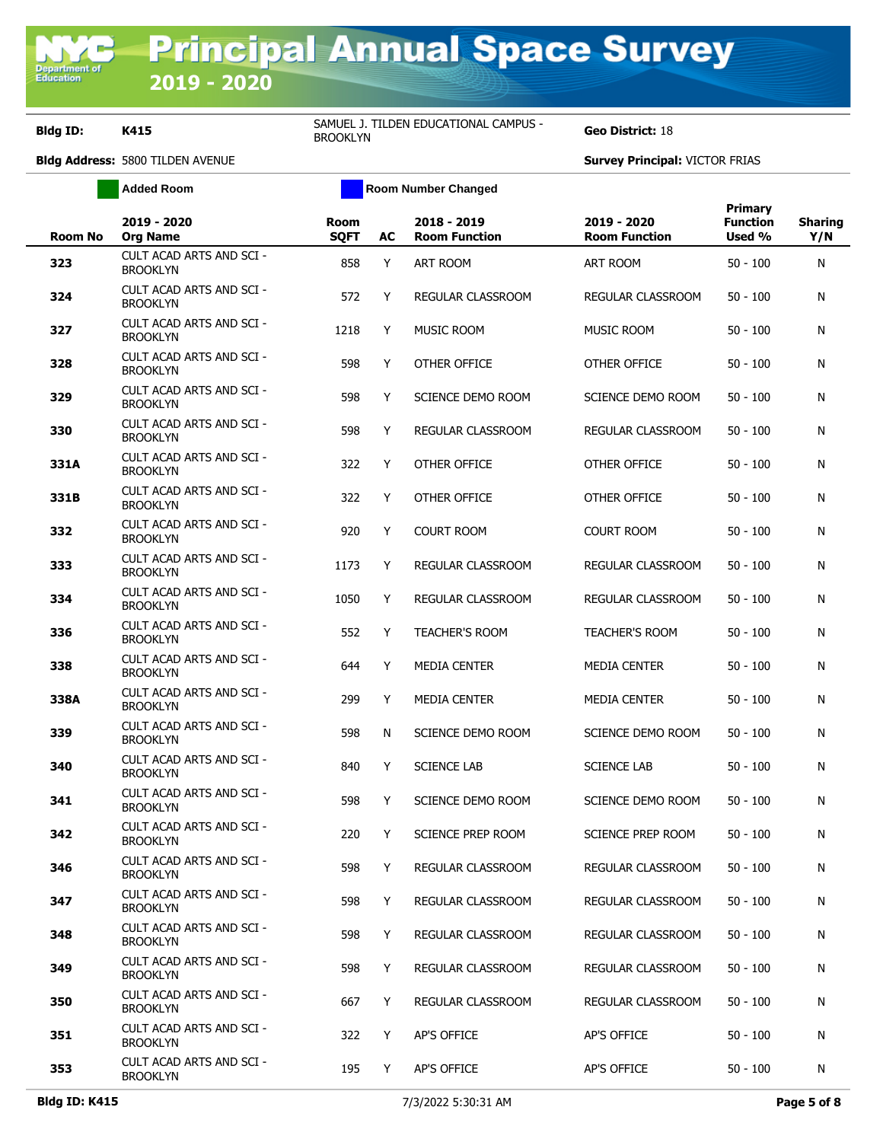**Department o**<br>Education

**Bldg ID: K415** SAMUEL J. TILDEN EDUCATIONAL CAMPUS -<br>BROOKLYN

**Geo District: 18** 

|                | <b>Added Room</b>                                  |                            |    | <b>Room Number Changed</b>          |                                     |                                             |                       |
|----------------|----------------------------------------------------|----------------------------|----|-------------------------------------|-------------------------------------|---------------------------------------------|-----------------------|
| <b>Room No</b> | 2019 - 2020<br><b>Org Name</b>                     | <b>Room</b><br><b>SQFT</b> | AC | 2018 - 2019<br><b>Room Function</b> | 2019 - 2020<br><b>Room Function</b> | <b>Primary</b><br><b>Function</b><br>Used % | <b>Sharing</b><br>Y/N |
| 323            | CULT ACAD ARTS AND SCI -<br><b>BROOKLYN</b>        | 858                        | Y  | <b>ART ROOM</b>                     | ART ROOM                            | $50 - 100$                                  | N                     |
| 324            | CULT ACAD ARTS AND SCI -<br><b>BROOKLYN</b>        | 572                        | Y  | REGULAR CLASSROOM                   | REGULAR CLASSROOM                   | $50 - 100$                                  | N                     |
| 327            | CULT ACAD ARTS AND SCI -<br><b>BROOKLYN</b>        | 1218                       | Y  | <b>MUSIC ROOM</b>                   | <b>MUSIC ROOM</b>                   | $50 - 100$                                  | N                     |
| 328            | CULT ACAD ARTS AND SCI -<br><b>BROOKLYN</b>        | 598                        | Y  | OTHER OFFICE                        | OTHER OFFICE                        | $50 - 100$                                  | N                     |
| 329            | CULT ACAD ARTS AND SCI -<br><b>BROOKLYN</b>        | 598                        | Y  | SCIENCE DEMO ROOM                   | SCIENCE DEMO ROOM                   | $50 - 100$                                  | N                     |
| 330            | CULT ACAD ARTS AND SCI -<br><b>BROOKLYN</b>        | 598                        | Y  | REGULAR CLASSROOM                   | REGULAR CLASSROOM                   | $50 - 100$                                  | N                     |
| 331A           | CULT ACAD ARTS AND SCI -<br><b>BROOKLYN</b>        | 322                        | Y  | OTHER OFFICE                        | OTHER OFFICE                        | $50 - 100$                                  | N                     |
| 331B           | CULT ACAD ARTS AND SCI -<br><b>BROOKLYN</b>        | 322                        | Y  | OTHER OFFICE                        | OTHER OFFICE                        | $50 - 100$                                  | N                     |
| 332            | CULT ACAD ARTS AND SCI -<br><b>BROOKLYN</b>        | 920                        | Y  | <b>COURT ROOM</b>                   | <b>COURT ROOM</b>                   | $50 - 100$                                  | N                     |
| 333            | CULT ACAD ARTS AND SCI -<br><b>BROOKLYN</b>        | 1173                       | Y  | REGULAR CLASSROOM                   | REGULAR CLASSROOM                   | $50 - 100$                                  | N                     |
| 334            | CULT ACAD ARTS AND SCI -<br><b>BROOKLYN</b>        | 1050                       | Y  | REGULAR CLASSROOM                   | REGULAR CLASSROOM                   | $50 - 100$                                  | N                     |
| 336            | CULT ACAD ARTS AND SCI -<br><b>BROOKLYN</b>        | 552                        | Y  | <b>TEACHER'S ROOM</b>               | <b>TEACHER'S ROOM</b>               | $50 - 100$                                  | N                     |
| 338            | CULT ACAD ARTS AND SCI -<br><b>BROOKLYN</b>        | 644                        | Y  | <b>MEDIA CENTER</b>                 | <b>MEDIA CENTER</b>                 | $50 - 100$                                  | N                     |
| 338A           | CULT ACAD ARTS AND SCI -<br><b>BROOKLYN</b>        | 299                        | Y  | <b>MEDIA CENTER</b>                 | <b>MEDIA CENTER</b>                 | $50 - 100$                                  | N                     |
| 339            | CULT ACAD ARTS AND SCI -<br><b>BROOKLYN</b>        | 598                        | N  | SCIENCE DEMO ROOM                   | SCIENCE DEMO ROOM                   | $50 - 100$                                  | N                     |
| 340            | <b>CULT ACAD ARTS AND SCI -</b><br><b>BROOKLYN</b> | 840                        | Y  | <b>SCIENCE LAB</b>                  | <b>SCIENCE LAB</b>                  | $50 - 100$                                  | N                     |
| 341            | <b>CULT ACAD ARTS AND SCI -</b><br><b>BROOKLYN</b> | 598                        | Y  | SCIENCE DEMO ROOM                   | SCIENCE DEMO ROOM                   | $50 - 100$                                  | N                     |
| 342            | CULT ACAD ARTS AND SCI -<br><b>BROOKLYN</b>        | 220                        | Y  | SCIENCE PREP ROOM                   | SCIENCE PREP ROOM                   | $50 - 100$                                  | N                     |
| 346            | CULT ACAD ARTS AND SCI -<br><b>BROOKLYN</b>        | 598                        | Y  | REGULAR CLASSROOM                   | REGULAR CLASSROOM                   | $50 - 100$                                  | N                     |
| 347            | <b>CULT ACAD ARTS AND SCI -</b><br><b>BROOKLYN</b> | 598                        | Y  | <b>REGULAR CLASSROOM</b>            | REGULAR CLASSROOM                   | $50 - 100$                                  | N                     |
| 348            | CULT ACAD ARTS AND SCI -<br><b>BROOKLYN</b>        | 598                        | Y  | REGULAR CLASSROOM                   | REGULAR CLASSROOM                   | $50 - 100$                                  | N                     |
| 349            | <b>CULT ACAD ARTS AND SCI -</b><br><b>BROOKLYN</b> | 598                        | Y  | REGULAR CLASSROOM                   | REGULAR CLASSROOM                   | $50 - 100$                                  | N                     |
| 350            | CULT ACAD ARTS AND SCI -<br><b>BROOKLYN</b>        | 667                        | Y  | REGULAR CLASSROOM                   | REGULAR CLASSROOM                   | $50 - 100$                                  | N                     |
| 351            | CULT ACAD ARTS AND SCI -<br><b>BROOKLYN</b>        | 322                        | Y  | AP'S OFFICE                         | AP'S OFFICE                         | $50 - 100$                                  | N                     |
| 353            | CULT ACAD ARTS AND SCI -<br><b>BROOKLYN</b>        | 195                        | Y  | AP'S OFFICE                         | AP'S OFFICE                         | $50 - 100$                                  | N                     |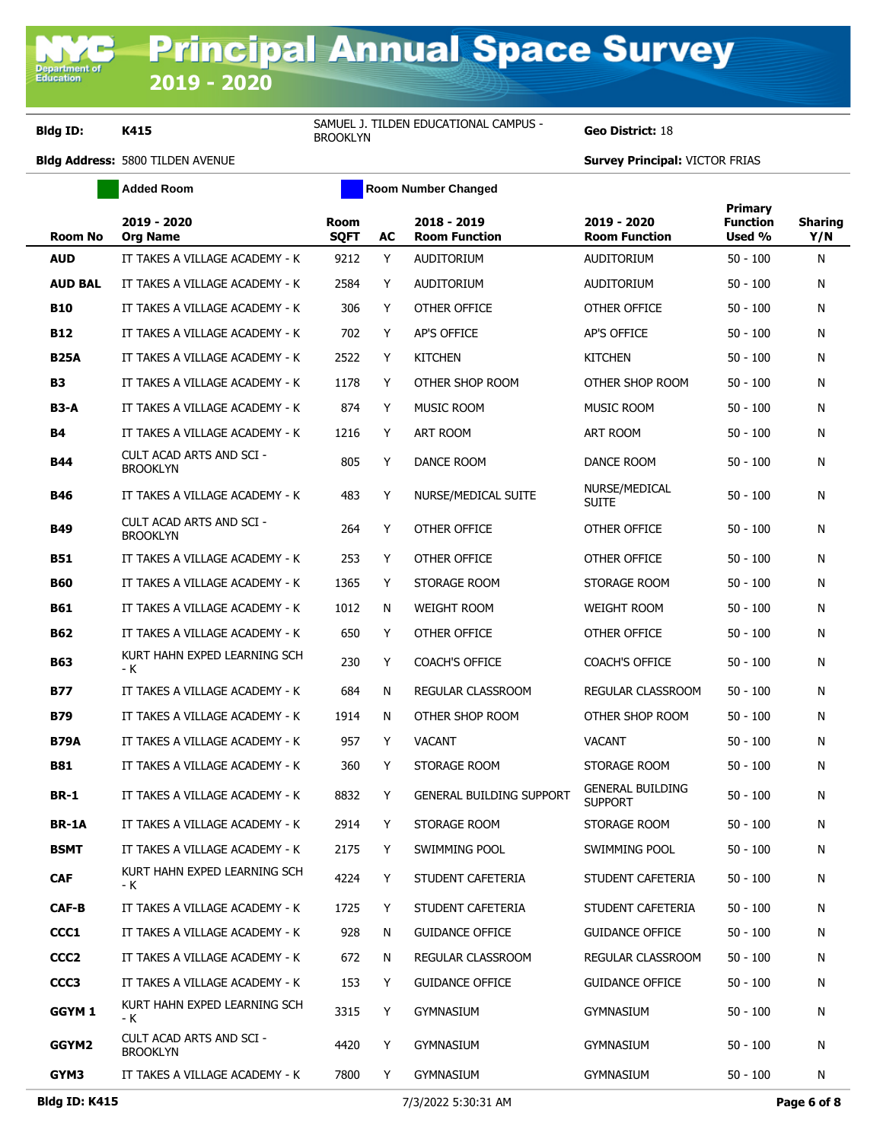**2019 - 2020**

Department of<br>Education

**Bldg ID: K415** SAMUEL J. TILDEN EDUCATIONAL CAMPUS -<br>BROOKLYN

**Geo District: 18** 

|                  | <b>Added Room</b>                           | <b>Room Number Changed</b> |    |                                     |                                           |                                             |                       |
|------------------|---------------------------------------------|----------------------------|----|-------------------------------------|-------------------------------------------|---------------------------------------------|-----------------------|
| <b>Room No</b>   | 2019 - 2020<br><b>Org Name</b>              | Room<br><b>SQFT</b>        | AC | 2018 - 2019<br><b>Room Function</b> | 2019 - 2020<br><b>Room Function</b>       | <b>Primary</b><br><b>Function</b><br>Used % | <b>Sharing</b><br>Y/N |
| <b>AUD</b>       | IT TAKES A VILLAGE ACADEMY - K              | 9212                       | Y  | <b>AUDITORIUM</b>                   | AUDITORIUM                                | $50 - 100$                                  | Ν                     |
| <b>AUD BAL</b>   | IT TAKES A VILLAGE ACADEMY - K              | 2584                       | Y  | <b>AUDITORIUM</b>                   | <b>AUDITORIUM</b>                         | $50 - 100$                                  | Ν                     |
| <b>B10</b>       | IT TAKES A VILLAGE ACADEMY - K              | 306                        | Y  | OTHER OFFICE                        | OTHER OFFICE                              | $50 - 100$                                  | Ν                     |
| <b>B12</b>       | IT TAKES A VILLAGE ACADEMY - K              | 702                        | Y  | AP'S OFFICE                         | <b>AP'S OFFICE</b>                        | $50 - 100$                                  | Ν                     |
| <b>B25A</b>      | IT TAKES A VILLAGE ACADEMY - K              | 2522                       | Y  | <b>KITCHEN</b>                      | <b>KITCHEN</b>                            | $50 - 100$                                  | N                     |
| <b>B3</b>        | IT TAKES A VILLAGE ACADEMY - K              | 1178                       | Y  | OTHER SHOP ROOM                     | OTHER SHOP ROOM                           | $50 - 100$                                  | Ν                     |
| <b>B3-A</b>      | IT TAKES A VILLAGE ACADEMY - K              | 874                        | Y  | MUSIC ROOM                          | MUSIC ROOM                                | $50 - 100$                                  | Ν                     |
| <b>B4</b>        | IT TAKES A VILLAGE ACADEMY - K              | 1216                       | Y  | ART ROOM                            | ART ROOM                                  | $50 - 100$                                  | Ν                     |
| <b>B44</b>       | CULT ACAD ARTS AND SCI -<br><b>BROOKLYN</b> | 805                        | Y  | DANCE ROOM                          | DANCE ROOM                                | $50 - 100$                                  | N                     |
| B46              | IT TAKES A VILLAGE ACADEMY - K              | 483                        | Y  | NURSE/MEDICAL SUITE                 | NURSE/MEDICAL<br><b>SUITE</b>             | $50 - 100$                                  | Ν                     |
| <b>B49</b>       | CULT ACAD ARTS AND SCI -<br><b>BROOKLYN</b> | 264                        | Y  | OTHER OFFICE                        | OTHER OFFICE                              | $50 - 100$                                  | Ν                     |
| <b>B51</b>       | IT TAKES A VILLAGE ACADEMY - K              | 253                        | Y  | OTHER OFFICE                        | OTHER OFFICE                              | $50 - 100$                                  | Ν                     |
| <b>B60</b>       | IT TAKES A VILLAGE ACADEMY - K              | 1365                       | Y  | STORAGE ROOM                        | STORAGE ROOM                              | $50 - 100$                                  | Ν                     |
| <b>B61</b>       | IT TAKES A VILLAGE ACADEMY - K              | 1012                       | N  | <b>WEIGHT ROOM</b>                  | <b>WEIGHT ROOM</b>                        | $50 - 100$                                  | Ν                     |
| <b>B62</b>       | IT TAKES A VILLAGE ACADEMY - K              | 650                        | Y  | OTHER OFFICE                        | OTHER OFFICE                              | $50 - 100$                                  | Ν                     |
| <b>B63</b>       | KURT HAHN EXPED LEARNING SCH<br>- K         | 230                        | Y  | <b>COACH'S OFFICE</b>               | <b>COACH'S OFFICE</b>                     | $50 - 100$                                  | Ν                     |
| <b>B77</b>       | IT TAKES A VILLAGE ACADEMY - K              | 684                        | N  | REGULAR CLASSROOM                   | REGULAR CLASSROOM                         | $50 - 100$                                  | Ν                     |
| <b>B79</b>       | IT TAKES A VILLAGE ACADEMY - K              | 1914                       | N  | OTHER SHOP ROOM                     | OTHER SHOP ROOM                           | $50 - 100$                                  | Ν                     |
| <b>B79A</b>      | IT TAKES A VILLAGE ACADEMY - K              | 957                        | Y  | <b>VACANT</b>                       | <b>VACANT</b>                             | $50 - 100$                                  | Ν                     |
| B81              | IT TAKES A VILLAGE ACADEMY - K              | 360                        | Y  | STORAGE ROOM                        | STORAGE ROOM                              | $50 - 100$                                  | Ν                     |
| <b>BR-1</b>      | IT TAKES A VILLAGE ACADEMY - K              | 8832                       | Y  | <b>GENERAL BUILDING SUPPORT</b>     | <b>GENERAL BUILDING</b><br><b>SUPPORT</b> | $50 - 100$                                  | Ν                     |
| <b>BR-1A</b>     | IT TAKES A VILLAGE ACADEMY - K              | 2914                       | Y  | STORAGE ROOM                        | STORAGE ROOM                              | 50 - 100                                    | N                     |
| <b>BSMT</b>      | IT TAKES A VILLAGE ACADEMY - K              | 2175                       | Y  | SWIMMING POOL                       | SWIMMING POOL                             | 50 - 100                                    | N                     |
| <b>CAF</b>       | KURT HAHN EXPED LEARNING SCH<br>- K         | 4224                       | Y  | STUDENT CAFETERIA                   | STUDENT CAFETERIA                         | $50 - 100$                                  | Ν                     |
| CAF-B            | IT TAKES A VILLAGE ACADEMY - K              | 1725                       | Y. | STUDENT CAFETERIA                   | STUDENT CAFETERIA                         | $50 - 100$                                  | N                     |
| CCC1             | IT TAKES A VILLAGE ACADEMY - K              | 928                        | N  | <b>GUIDANCE OFFICE</b>              | <b>GUIDANCE OFFICE</b>                    | $50 - 100$                                  | Ν                     |
| CCC <sub>2</sub> | IT TAKES A VILLAGE ACADEMY - K              | 672                        | N  | REGULAR CLASSROOM                   | REGULAR CLASSROOM                         | $50 - 100$                                  | N                     |
| CCC <sub>3</sub> | IT TAKES A VILLAGE ACADEMY - K              | 153                        | Y  | <b>GUIDANCE OFFICE</b>              | <b>GUIDANCE OFFICE</b>                    | $50 - 100$                                  | N                     |
| GGYM 1           | KURT HAHN EXPED LEARNING SCH<br>- K         | 3315                       | Y  | <b>GYMNASIUM</b>                    | GYMNASIUM                                 | $50 - 100$                                  | N                     |
| GGYM2            | CULT ACAD ARTS AND SCI -<br><b>BROOKLYN</b> | 4420                       | Y  | <b>GYMNASIUM</b>                    | GYMNASIUM                                 | $50 - 100$                                  | N                     |
| GYM3             | IT TAKES A VILLAGE ACADEMY - K              | 7800                       | Y  | GYMNASIUM                           | GYMNASIUM                                 | $50 - 100$                                  | N                     |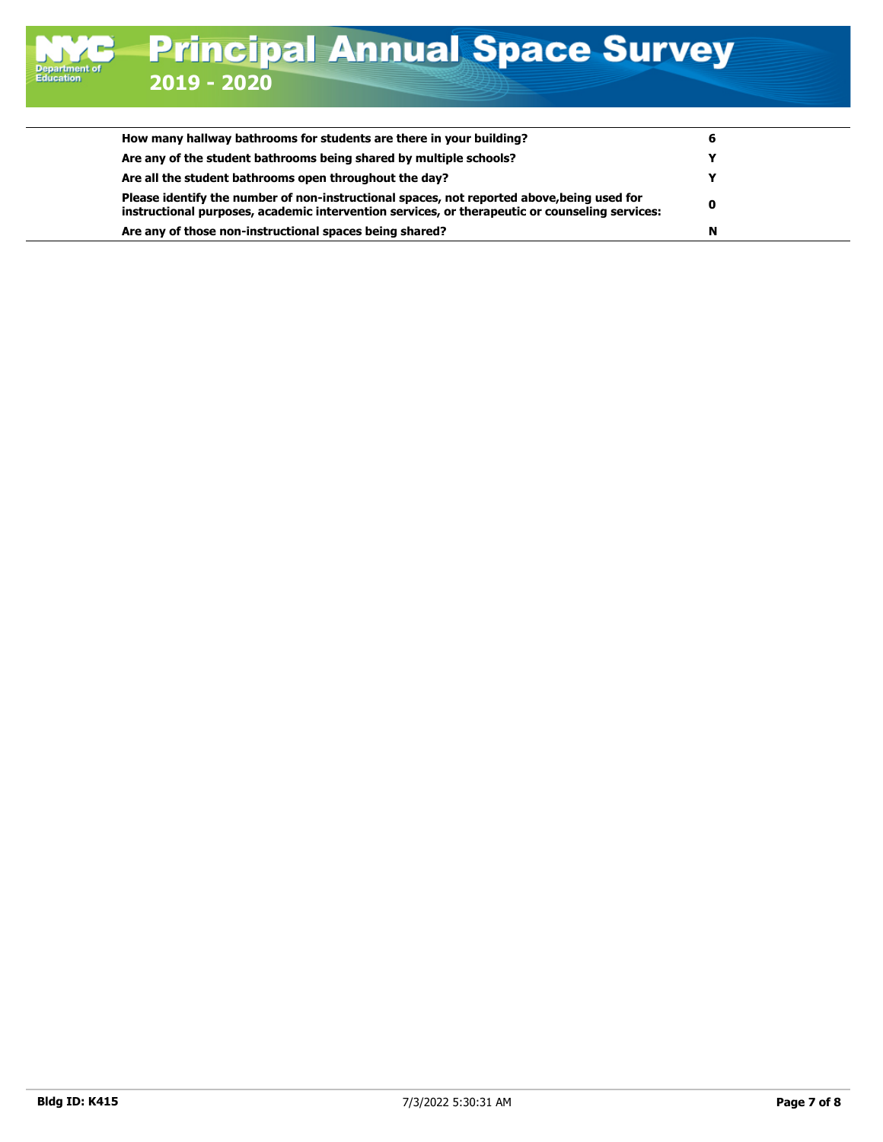| How many hallway bathrooms for students are there in your building?                                                                                                                          | O |
|----------------------------------------------------------------------------------------------------------------------------------------------------------------------------------------------|---|
| Are any of the student bathrooms being shared by multiple schools?                                                                                                                           |   |
| Are all the student bathrooms open throughout the day?                                                                                                                                       |   |
| Please identify the number of non-instructional spaces, not reported above, being used for<br>instructional purposes, academic intervention services, or therapeutic or counseling services: | 0 |
| Are any of those non-instructional spaces being shared?                                                                                                                                      | N |